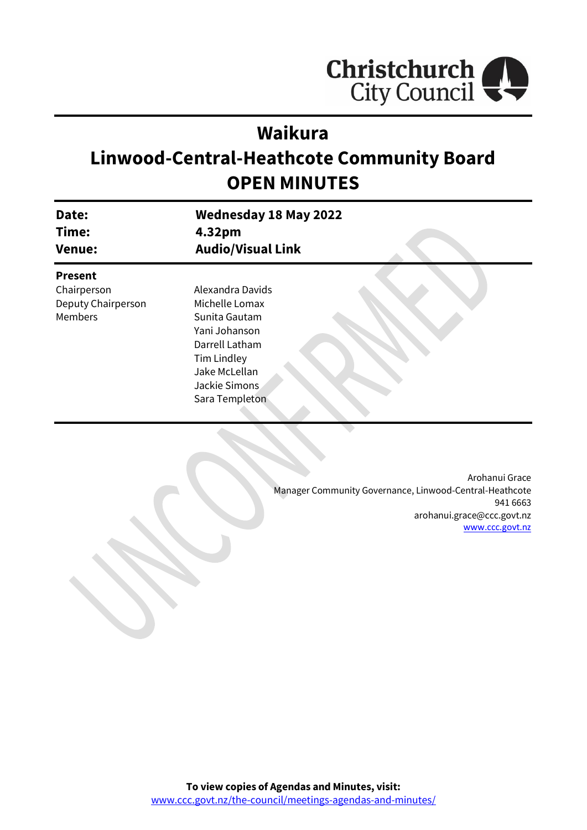

# **Waikura**

# **Linwood-Central-Heathcote Community Board OPEN MINUTES**

| Date:<br>Time:<br><b>Venue:</b> | <b>Wednesday 18 May 2022</b><br>4.32pm<br><b>Audio/Visual Link</b> |
|---------------------------------|--------------------------------------------------------------------|
| <b>Present</b>                  |                                                                    |
| Chairperson                     | Alexandra Davids                                                   |
| Deputy Chairperson              | Michelle Lomax                                                     |
| <b>Members</b>                  | Sunita Gautam                                                      |
|                                 | Yani Johanson                                                      |
|                                 | Darrell Latham                                                     |
|                                 | Tim Lindley                                                        |
|                                 | Jake McLellan                                                      |
|                                 | Jackie Simons                                                      |
|                                 | Sara Templeton                                                     |

Arohanui Grace Manager Community Governance, Linwood-Central-Heathcote 941 6663 arohanui.grace@ccc.govt.nz [www.ccc.govt.nz](http://www.ccc.govt.nz/)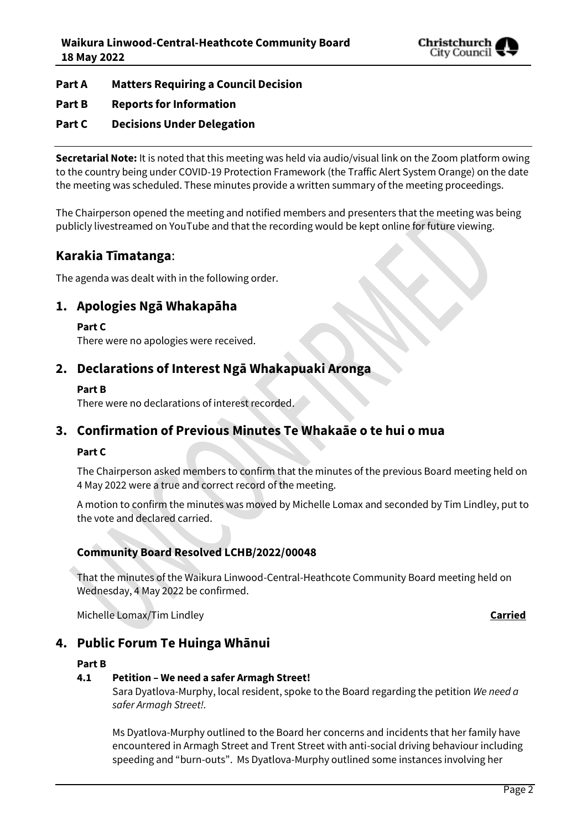

- **Part A Matters Requiring a Council Decision**
- **Part B Reports for Information**
- **Part C Decisions Under Delegation**

**Secretarial Note:** It is noted that this meeting was held via audio/visual link on the Zoom platform owing to the country being under COVID-19 Protection Framework (the Traffic Alert System Orange) on the date the meeting was scheduled. These minutes provide a written summary of the meeting proceedings.

The Chairperson opened the meeting and notified members and presenters that the meeting was being publicly livestreamed on YouTube and that the recording would be kept online for future viewing.

## **Karakia Tīmatanga**:

The agenda was dealt with in the following order.

## **1. Apologies Ngā Whakapāha**

**Part C** 

There were no apologies were received.

## **2. Declarations of Interest Ngā Whakapuaki Aronga**

#### **Part B**

There were no declarations of interest recorded.

## **3. Confirmation of Previous Minutes Te Whakaāe o te hui o mua**

#### **Part C**

The Chairperson asked members to confirm that the minutes of the previous Board meeting held on 4 May 2022 were a true and correct record of the meeting.

A motion to confirm the minutes was moved by Michelle Lomax and seconded by Tim Lindley, put to the vote and declared carried.

## **Community Board Resolved LCHB/2022/00048**

That the minutes of the Waikura Linwood-Central-Heathcote Community Board meeting held on Wednesday, 4 May 2022 be confirmed.

Michelle Lomax/Tim Lindley **Carried**

## **4. Public Forum Te Huinga Whānui**

#### **Part B**

#### **4.1 Petition – We need a safer Armagh Street!**

Sara Dyatlova-Murphy, local resident, spoke to the Board regarding the petition *We need a safer Armagh Street!.*

Ms Dyatlova-Murphy outlined to the Board her concerns and incidents that her family have encountered in Armagh Street and Trent Street with anti-social driving behaviour including speeding and "burn-outs". Ms Dyatlova-Murphy outlined some instances involving her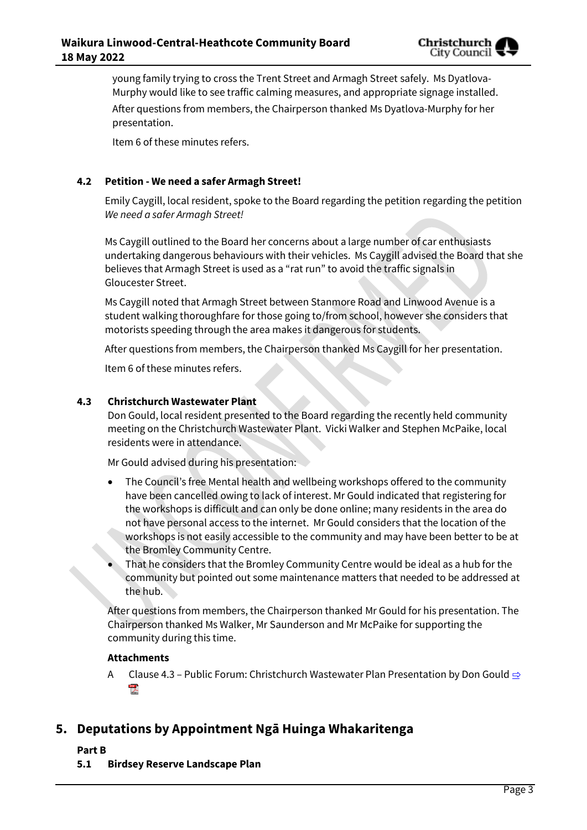

young family trying to cross the Trent Street and Armagh Street safely. Ms Dyatlova-Murphy would like to see traffic calming measures, and appropriate signage installed. After questions from members, the Chairperson thanked Ms Dyatlova-Murphy for her presentation.

Item 6 of these minutes refers.

#### **4.2 Petition - We need a safer Armagh Street!**

Emily Caygill, local resident, spoke to the Board regarding the petition regarding the petition *We need a safer Armagh Street!*

Ms Caygill outlined to the Board her concerns about a large number of car enthusiasts undertaking dangerous behaviours with their vehicles. Ms Caygill advised the Board that she believes that Armagh Street is used as a "rat run" to avoid the traffic signals in Gloucester Street.

Ms Caygill noted that Armagh Street between Stanmore Road and Linwood Avenue is a student walking thoroughfare for those going to/from school, however she considers that motorists speeding through the area makes it dangerous for students.

After questions from members, the Chairperson thanked Ms Caygill for her presentation.

Item 6 of these minutes refers.

#### **4.3 Christchurch Wastewater Plant**

Don Gould, local resident presented to the Board regarding the recently held community meeting on the Christchurch Wastewater Plant. Vicki Walker and Stephen McPaike, local residents were in attendance.

Mr Gould advised during his presentation:

- The Council's free Mental health and wellbeing workshops offered to the community have been cancelled owing to lack of interest. Mr Gould indicated that registering for the workshops is difficult and can only be done online; many residents in the area do not have personal access to the internet. Mr Gould considers that the location of the workshops is not easily accessible to the community and may have been better to be at the Bromley Community Centre.
- That he considers that the Bromley Community Centre would be ideal as a hub for the community but pointed out some maintenance matters that needed to be addressed at the hub.

After questions from members, the Chairperson thanked Mr Gould for his presentation. The Chairperson thanked Ms Walker, Mr Saunderson and Mr McPaike for supporting the community during this time.

#### **Attachments**

A Clause 4.3 – Public Forum: Christchurch Wastewater Plan Presentation by Don Gould  $\Rightarrow$ **POP** 

## **5. Deputations by Appointment Ngā Huinga Whakaritenga**

**Part B**

**5.1 Birdsey Reserve Landscape Plan**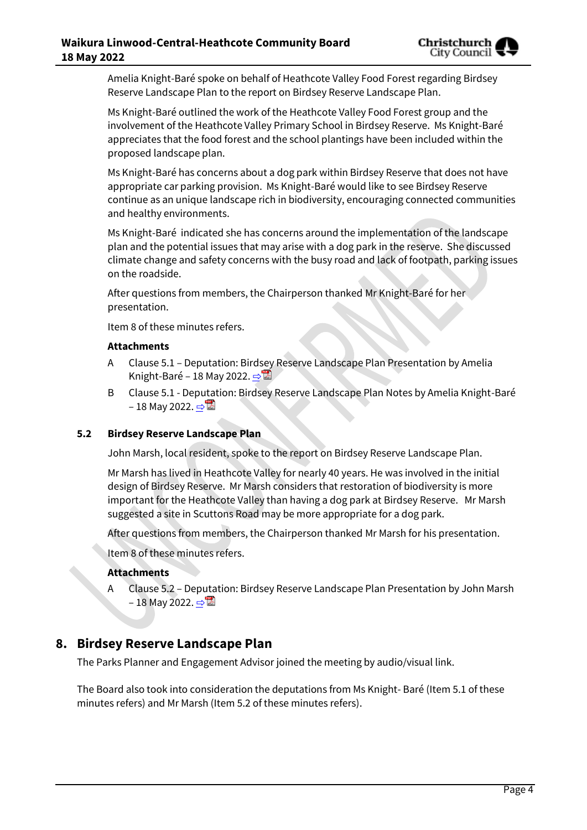Amelia Knight-Baré spoke on behalf of Heathcote Valley Food Forest regarding Birdsey Reserve Landscape Plan to the report on Birdsey Reserve Landscape Plan.

Ms Knight-Baré outlined the work of the Heathcote Valley Food Forest group and the involvement of the Heathcote Valley Primary School in Birdsey Reserve. Ms Knight-Baré appreciates that the food forest and the school plantings have been included within the proposed landscape plan.

Ms Knight-Baré has concerns about a dog park within Birdsey Reserve that does not have appropriate car parking provision. Ms Knight-Baré would like to see Birdsey Reserve continue as an unique landscape rich in biodiversity, encouraging connected communities and healthy environments.

Ms Knight-Baré indicated she has concerns around the implementation of the landscape plan and the potential issues that may arise with a dog park in the reserve. She discussed climate change and safety concerns with the busy road and lack of footpath, parking issues on the roadside.

After questions from members, the Chairperson thanked Mr Knight-Baré for her presentation.

Item 8 of these minutes refers.

#### **Attachments**

- A Clause 5.1 Deputation: Birdsey Reserve Landscape Plan Presentation by Amelia Knight-Baré – 18 May 2022.  $\Rightarrow$
- B Clause 5.1 Deputation: Birdsey Reserve Landscape Plan Notes by Amelia Knight-Baré – 18 May 2022.  $\Rightarrow$

#### **5.2 Birdsey Reserve Landscape Plan**

John Marsh, local resident, spoke to the report on Birdsey Reserve Landscape Plan.

Mr Marsh has lived in Heathcote Valley for nearly 40 years. He was involved in the initial design of Birdsey Reserve. Mr Marsh considers that restoration of biodiversity is more important for the Heathcote Valley than having a dog park at Birdsey Reserve. Mr Marsh suggested a site in Scuttons Road may be more appropriate for a dog park.

After questions from members, the Chairperson thanked Mr Marsh for his presentation.

Item 8 of these minutes refers.

#### **Attachments**

Clause 5.2 - Deputation: Birdsey Reserve Landscape Plan Presentation by John Marsh – 18 May 2022. [⇨](../../../RedirectToInvalidFileName.aspx?FileName=LCHB_20220518_MAT_7606.PDF#PAGE=13)

## **8. Birdsey Reserve Landscape Plan**

The Parks Planner and Engagement Advisor joined the meeting by audio/visual link.

The Board also took into consideration the deputations from Ms Knight- Baré (Item 5.1 of these minutes refers) and Mr Marsh (Item 5.2 of these minutes refers).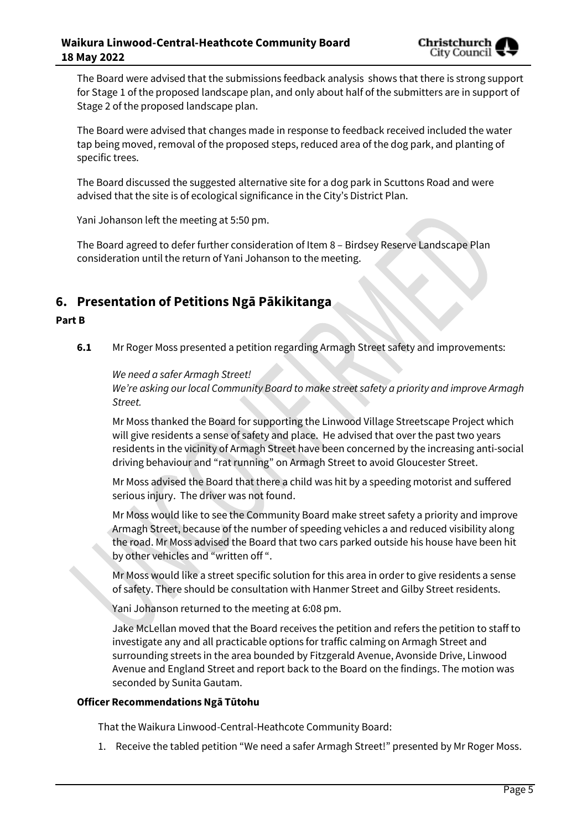

The Board were advised that the submissions feedback analysis shows that there is strong support for Stage 1 of the proposed landscape plan, and only about half of the submitters are in support of Stage 2 of the proposed landscape plan.

The Board were advised that changes made in response to feedback received included the water tap being moved, removal of the proposed steps, reduced area of the dog park, and planting of specific trees.

The Board discussed the suggested alternative site for a dog park in Scuttons Road and were advised that the site is of ecological significance in the City's District Plan.

Yani Johanson left the meeting at 5:50 pm.

The Board agreed to defer further consideration of Item 8 – Birdsey Reserve Landscape Plan consideration until the return of Yani Johanson to the meeting.

## **6. Presentation of Petitions Ngā Pākikitanga**

#### **Part B**

**6.1** Mr Roger Moss presented a petition regarding Armagh Street safety and improvements:

*We need a safer Armagh Street!* 

*We're asking our local Community Board to make street safety a priority and improve Armagh Street.*

Mr Moss thanked the Board for supporting the Linwood Village Streetscape Project which will give residents a sense of safety and place. He advised that over the past two years residents in the vicinity of Armagh Street have been concerned by the increasing anti-social driving behaviour and "rat running" on Armagh Street to avoid Gloucester Street.

Mr Moss advised the Board that there a child was hit by a speeding motorist and suffered serious injury. The driver was not found.

Mr Moss would like to see the Community Board make street safety a priority and improve Armagh Street, because of the number of speeding vehicles a and reduced visibility along the road. Mr Moss advised the Board that two cars parked outside his house have been hit by other vehicles and "written off ".

Mr Moss would like a street specific solution for this area in order to give residents a sense of safety. There should be consultation with Hanmer Street and Gilby Street residents.

Yani Johanson returned to the meeting at 6:08 pm.

Jake McLellan moved that the Board receives the petition and refers the petition to staff to investigate any and all practicable options for traffic calming on Armagh Street and surrounding streets in the area bounded by Fitzgerald Avenue, Avonside Drive, Linwood Avenue and England Street and report back to the Board on the findings. The motion was seconded by Sunita Gautam.

#### **Officer Recommendations Ngā Tūtohu**

That the Waikura Linwood-Central-Heathcote Community Board:

1. Receive the tabled petition "We need a safer Armagh Street!" presented by Mr Roger Moss.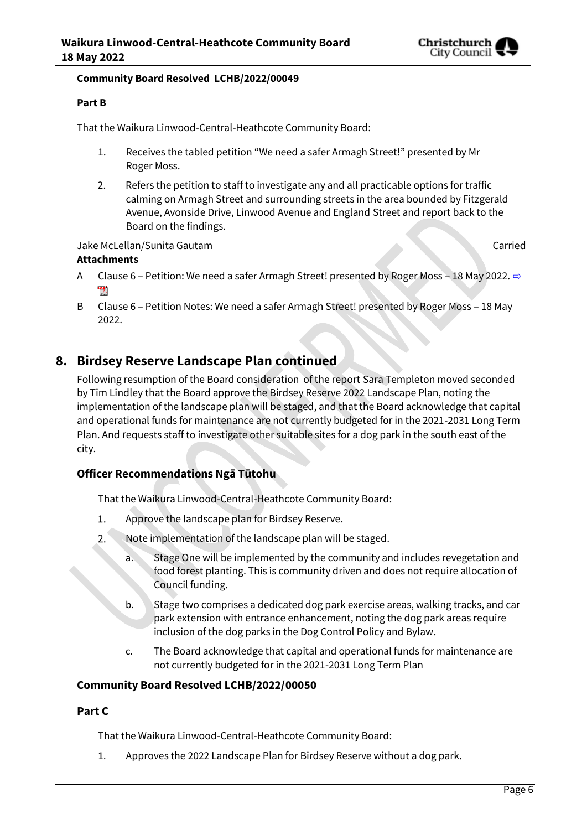

#### **Community Board Resolved LCHB/2022/00049**

#### **Part B**

That the Waikura Linwood-Central-Heathcote Community Board:

- 1. Receives the tabled petition "We need a safer Armagh Street!" presented by Mr Roger Moss.
- 2. Refers the petition to staff to investigate any and all practicable options for traffic calming on Armagh Street and surrounding streets in the area bounded by Fitzgerald Avenue, Avonside Drive, Linwood Avenue and England Street and report back to the Board on the findings.

#### Jake McLellan/Sunita Gautam Carried

#### **Attachments**

- A Clause 6 Petition: We need a safer Armagh Street! presented by Roger Moss 18 May 2022.  $\Rightarrow$ **POP**
- B Clause 6 Petition Notes: We need a safer Armagh Street! presented by Roger Moss 18 May 2022.

## **8. Birdsey Reserve Landscape Plan continued**

Following resumption of the Board consideration of the report Sara Templeton moved seconded by Tim Lindley that the Board approve the Birdsey Reserve 2022 Landscape Plan, noting the implementation of the landscape plan will be staged, and that the Board acknowledge that capital and operational funds for maintenance are not currently budgeted for in the 2021-2031 Long Term Plan. And requests staff to investigate other suitable sites for a dog park in the south east of the city.

### **Officer Recommendations Ngā Tūtohu**

That the Waikura Linwood-Central-Heathcote Community Board:

- 1. Approve the landscape plan for Birdsey Reserve.
- $2.$ Note implementation of the landscape plan will be staged.
	- a. Stage One will be implemented by the community and includes revegetation and food forest planting. This is community driven and does not require allocation of Council funding.
	- b. Stage two comprises a dedicated dog park exercise areas, walking tracks, and car park extension with entrance enhancement, noting the dog park areas require inclusion of the dog parks in the Dog Control Policy and Bylaw.
	- c. The Board acknowledge that capital and operational funds for maintenance are not currently budgeted for in the 2021-2031 Long Term Plan

#### **Community Board Resolved LCHB/2022/00050**

#### **Part C**

That the Waikura Linwood-Central-Heathcote Community Board:

1. Approves the 2022 Landscape Plan for Birdsey Reserve without a dog park.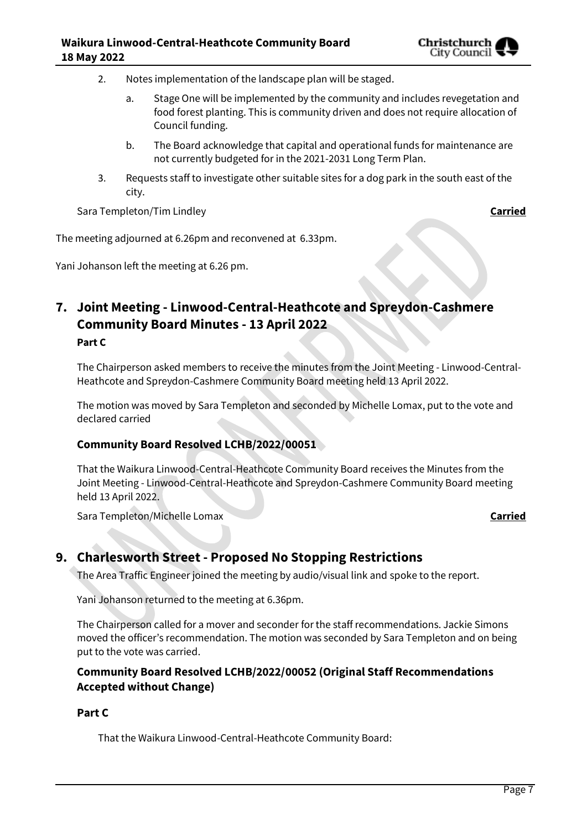- 2. Notes implementation of the landscape plan will be staged.
	- a. Stage One will be implemented by the community and includes revegetation and food forest planting. This is community driven and does not require allocation of Council funding.
	- b. The Board acknowledge that capital and operational funds for maintenance are not currently budgeted for in the 2021-2031 Long Term Plan.
- 3. Requests staff to investigate other suitable sites for a dog park in the south east of the city.

Sara Templeton/Tim Lindley **Carried**

The meeting adjourned at 6.26pm and reconvened at 6.33pm.

Yani Johanson left the meeting at 6.26 pm.

## **7. Joint Meeting - Linwood-Central-Heathcote and Spreydon-Cashmere Community Board Minutes - 13 April 2022 Part C**

The Chairperson asked members to receive the minutes from the Joint Meeting - Linwood-Central-Heathcote and Spreydon-Cashmere Community Board meeting held 13 April 2022.

The motion was moved by Sara Templeton and seconded by Michelle Lomax, put to the vote and declared carried

#### **Community Board Resolved LCHB/2022/00051**

That the Waikura Linwood-Central-Heathcote Community Board receives the Minutes from the Joint Meeting - Linwood-Central-Heathcote and Spreydon-Cashmere Community Board meeting held 13 April 2022.

Sara Templeton/Michelle Lomax **Carried**

## **9. Charlesworth Street - Proposed No Stopping Restrictions**

The Area Traffic Engineer joined the meeting by audio/visual link and spoke to the report.

Yani Johanson returned to the meeting at 6.36pm.

The Chairperson called for a mover and seconder for the staff recommendations. Jackie Simons moved the officer's recommendation. The motion was seconded by Sara Templeton and on being put to the vote was carried.

## **Community Board Resolved LCHB/2022/00052 (Original Staff Recommendations Accepted without Change)**

#### **Part C**

That the Waikura Linwood-Central-Heathcote Community Board: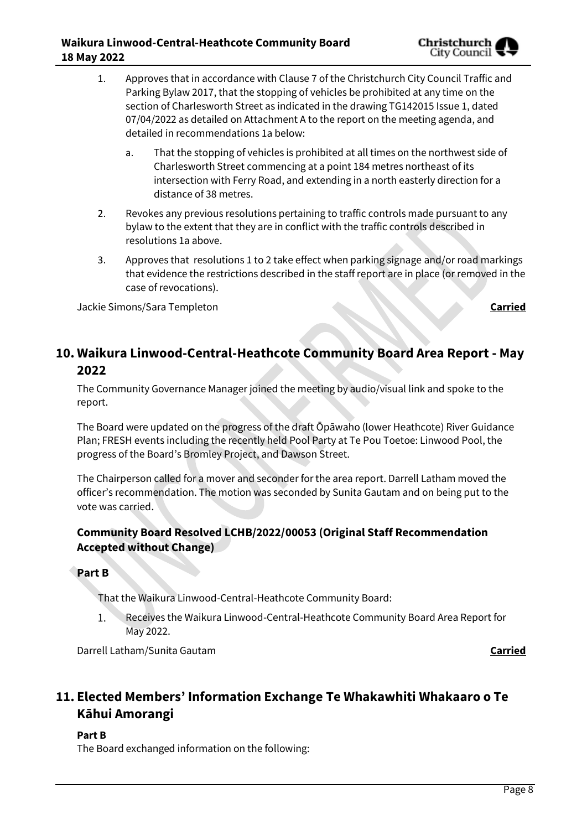

- 1. Approves that in accordance with Clause 7 of the Christchurch City Council Traffic and Parking Bylaw 2017, that the stopping of vehicles be prohibited at any time on the section of Charlesworth Street as indicated in the drawing TG142015 Issue 1, dated 07/04/2022 as detailed on Attachment A to the report on the meeting agenda, and detailed in recommendations 1a below:
	- a. That the stopping of vehicles is prohibited at all times on the northwest side of Charlesworth Street commencing at a point 184 metres northeast of its intersection with Ferry Road, and extending in a north easterly direction for a distance of 38 metres.
- 2. Revokes any previous resolutions pertaining to traffic controls made pursuant to any bylaw to the extent that they are in conflict with the traffic controls described in resolutions 1a above.
- 3. Approves that resolutions 1 to 2 take effect when parking signage and/or road markings that evidence the restrictions described in the staff report are in place (or removed in the case of revocations).

Jackie Simons/Sara Templeton **Carried**

## **10. Waikura Linwood-Central-Heathcote Community Board Area Report - May 2022**

The Community Governance Manager joined the meeting by audio/visual link and spoke to the report.

The Board were updated on the progress of the draft Ōpāwaho (lower Heathcote) River Guidance Plan; FRESH events including the recently held Pool Party at Te Pou Toetoe: Linwood Pool, the progress of the Board's Bromley Project, and Dawson Street.

The Chairperson called for a mover and seconder for the area report. Darrell Latham moved the officer's recommendation. The motion was seconded by Sunita Gautam and on being put to the vote was carried.

## **Community Board Resolved LCHB/2022/00053 (Original Staff Recommendation Accepted without Change)**

**Part B**

That the Waikura Linwood-Central-Heathcote Community Board:

 $1.$ Receives the Waikura Linwood-Central-Heathcote Community Board Area Report for May 2022.

Darrell Latham/Sunita Gautam **Carried**

## **11. Elected Members' Information Exchange Te Whakawhiti Whakaaro o Te Kāhui Amorangi**

### **Part B**

The Board exchanged information on the following: